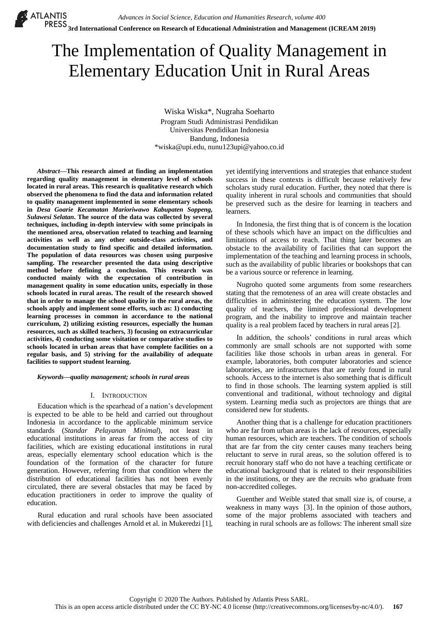# The Implementation of Quality Management in Elementary Education Unit in Rural Areas

Wiska Wiska\*, Nugraha Soeharto Program Studi Administrasi Pendidikan Universitas Pendidikan Indonesia Bandung, Indonesia \*wiska@upi.edu, nunu123upi@yahoo.co.id

*Abstract***—This research aimed at finding an implementation regarding quality management in elementary level of schools located in rural areas. This research is qualitative research which observed the phenomena to find the data and information related to quality management implemented in some elementary schools in** *Desa Goarie Kecamatan Marioriwawo Kabupaten Soppeng, Sulawesi Selatan***. The source of the data was collected by several techniques, including in-depth interview with some principals in the mentioned area, observation related to teaching and learning activities as well as any other outside-class activities, and documentation study to find specific and detailed information. The population of data resources was chosen using purposive sampling. The researcher presented the data using descriptive method before defining a conclusion. This research was conducted mainly with the expectation of contribution in management quality in some education units, especially in those schools located in rural areas. The result of the research showed that in order to manage the school quality in the rural areas, the schools apply and implement some efforts, such as: 1) conducting learning processes in common in accordance to the national curriculum, 2) utilizing existing resources, especially the human resources, such as skilled teachers, 3) focusing on extracurricular activities, 4) conducting some visitation or comparative studies to schools located in urban areas that have complete facilities on a regular basis, and 5) striving for the availability of adequate facilities to support student learning.**

*Keywords—quality management; schools in rural areas*

## I. INTRODUCTION

Education which is the spearhead of a nation"s development is expected to be able to be held and carried out throughout Indonesia in accordance to the applicable minimum service standards (*Standar Pelayanan Minimal*), not least in educational institutions in areas far from the access of city facilities, which are existing educational institutions in rural areas, especially elementary school education which is the foundation of the formation of the character for future generation. However, referring from that condition where the distribution of educational facilities has not been evenly circulated, there are several obstacles that may be faced by education practitioners in order to improve the quality of education.

Rural education and rural schools have been associated with deficiencies and challenges Arnold et al. in Mukeredzi [1], yet identifying interventions and strategies that enhance student success in these contexts is difficult because relatively few scholars study rural education. Further, they noted that there is quality inherent in rural schools and communities that should be preserved such as the desire for learning in teachers and learners.

In Indonesia, the first thing that is of concern is the location of these schools which have an impact on the difficulties and limitations of access to reach. That thing later becomes an obstacle to the availability of facilities that can support the implementation of the teaching and learning process in schools, such as the availability of public libraries or bookshops that can be a various source or reference in learning.

Nugroho quoted some arguments from some researchers stating that the remoteness of an area will create obstacles and difficulties in administering the education system. The low quality of teachers, the limited professional development program, and the inability to improve and maintain teacher quality is a real problem faced by teachers in rural areas [2].

In addition, the schools" conditions in rural areas which commonly are small schools are not supported with some facilities like those schools in urban areas in general. For example, laboratories, both computer laboratories and science laboratories, are infrastructures that are rarely found in rural schools. Access to the internet is also something that is difficult to find in those schools. The learning system applied is still conventional and traditional, without technology and digital system. Learning media such as projectors are things that are considered new for students.

Another thing that is a challenge for education practitioners who are far from urban areas is the lack of resources, especially human resources, which are teachers. The condition of schools that are far from the city center causes many teachers being reluctant to serve in rural areas, so the solution offered is to recruit honorary staff who do not have a teaching certificate or educational background that is related to their responsibilities in the institutions, or they are the recruits who graduate from non-accredited colleges.

Guenther and Weible stated that small size is, of course, a weakness in many ways [3]. In the opinion of those authors, some of the major problems associated with teachers and teaching in rural schools are as follows: The inherent small size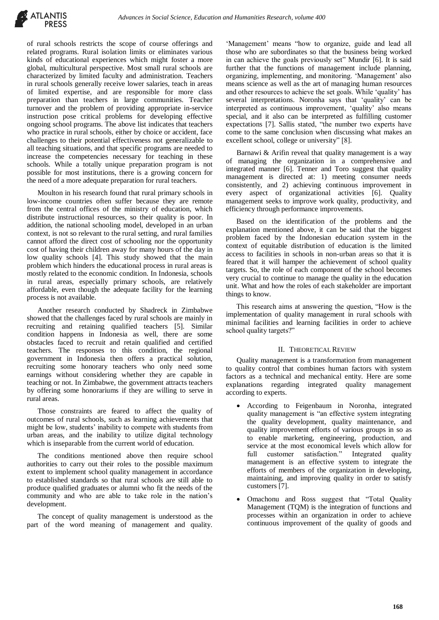

of rural schools restricts the scope of course offerings and related programs. Rural isolation limits or eliminates various kinds of educational experiences which might foster a more global, multicultural perspective. Most small rural schools are characterized by limited faculty and administration. Teachers in rural schools generally receive lower salaries, teach in areas of limited expertise, and are responsible for more class preparation than teachers in large communities. Teacher turnover and the problem of providing appropriate in-service instruction pose critical problems for developing effective ongoing school programs. The above list indicates that teachers who practice in rural schools, either by choice or accident, face challenges to their potential effectiveness not generalizable to all teaching situations, and that specific programs are needed to increase the competencies necessary for teaching in these schools. While a totally unique preparation program is not possible for most institutions, there is a growing concern for the need of a more adequate preparation for rural teachers.

Moulton in his research found that rural primary schools in low-income countries often suffer because they are remote from the central offices of the ministry of education, which distribute instructional resources, so their quality is poor. In addition, the national schooling model, developed in an urban context, is not so relevant to the rural setting, and rural families cannot afford the direct cost of schooling nor the opportunity cost of having their children away for many hours of the day in low quality schools [4]. This study showed that the main problem which hinders the educational process in rural areas is mostly related to the economic condition. In Indonesia, schools in rural areas, especially primary schools, are relatively affordable, even though the adequate facility for the learning process is not available.

Another research conducted by Shadreck in Zimbabwe showed that the challenges faced by rural schools are mainly in recruiting and retaining qualified teachers [5]. Similar condition happens in Indonesia as well, there are some obstacles faced to recruit and retain qualified and certified teachers. The responses to this condition, the regional government in Indonesia then offers a practical solution, recruiting some honorary teachers who only need some earnings without considering whether they are capable in teaching or not. In Zimbabwe, the government attracts teachers by offering some honorariums if they are willing to serve in rural areas.

Those constraints are feared to affect the quality of outcomes of rural schools, such as learning achievements that might be low, students' inability to compete with students from urban areas, and the inability to utilize digital technology which is inseparable from the current world of education.

The conditions mentioned above then require school authorities to carry out their roles to the possible maximum extent to implement school quality management in accordance to established standards so that rural schools are still able to produce qualified graduates or alumni who fit the needs of the community and who are able to take role in the nation's development.

The concept of quality management is understood as the part of the word meaning of management and quality.

'Management' means "how to organize, guide and lead all those who are subordinates so that the business being worked in can achieve the goals previously set" Mundir [6]. It is said further that the functions of management include planning, organizing, implementing, and monitoring. 'Management' also means science as well as the art of managing human resources and other resources to achieve the set goals. While 'quality' has several interpretations. Noronha says that 'quality' can be interpreted as continuous improvement, 'quality' also means special, and it also can be interpreted as fulfilling customer expectations [7]. Sallis stated, "the number two experts have come to the same conclusion when discussing what makes an excellent school, college or university" [8].

Barnawi & Arifin reveal that quality management is a way of managing the organization in a comprehensive and integrated manner [6]. Tenner and Toro suggest that quality management is directed at: 1) meeting consumer needs consistently, and 2) achieving continuous improvement in every aspect of organizational activities [6]. Quality management seeks to improve work quality, productivity, and efficiency through performance improvements.

Based on the identification of the problems and the explanation mentioned above, it can be said that the biggest problem faced by the Indonesian education system in the context of equitable distribution of education is the limited access to facilities in schools in non-urban areas so that it is feared that it will hamper the achievement of school quality targets. So, the role of each component of the school becomes very crucial to continue to manage the quality in the education unit. What and how the roles of each stakeholder are important things to know.

This research aims at answering the question, "How is the implementation of quality management in rural schools with minimal facilities and learning facilities in order to achieve school quality targets?"

#### II. THEORETICAL REVIEW

Quality management is a transformation from management to quality control that combines human factors with system factors as a technical and mechanical entity. Here are some explanations regarding integrated quality management according to experts.

- According to Feigenbaum in Noronha, integrated quality management is "an effective system integrating the quality development, quality maintenance, and quality improvement efforts of various groups in so as to enable marketing, engineering, production, and service at the most economical levels which allow for full customer satisfaction." Integrated quality management is an effective system to integrate the efforts of members of the organization in developing, maintaining, and improving quality in order to satisfy customers [7].
- Omachonu and Ross suggest that "Total Quality Management (TQM) is the integration of functions and processes within an organization in order to achieve continuous improvement of the quality of goods and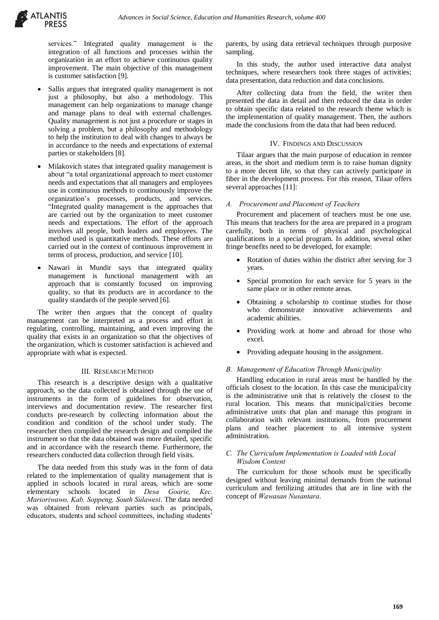

services." Integrated quality management is the integration of all functions and processes within the organization in an effort to achieve continuous quality improvement. The main objective of this management is customer satisfaction [9].

- Sallis argues that integrated quality management is not just a philosophy, but also a methodology. This management can help organizations to manage change and manage plans to deal with external challenges. Quality management is not just a procedure or stages in solving a problem, but a philosophy and methodology to help the institution to deal with changes to always be in accordance to the needs and expectations of external parties or stakeholders [8].
- Milakovich states that integrated quality management is about "a total organizational approach to meet customer needs and expectations that all managers and employees use in continuous methods to continuously improve the organization's processes, products, and services. "Integrated quality management is the approaches that are carried out by the organization to meet customer needs and expectations. The effort of the approach involves all people, both leaders and employees. The method used is quantitative methods. These efforts are carried out in the context of continuous improvement in terms of process, production, and service [10].
- Nawari in Mundir says that integrated quality management is functional management with an approach that is constantly focused on improving quality, so that its products are in accordance to the quality standards of the people served [6].

The writer then argues that the concept of quality management can be interpreted as a process and effort in regulating, controlling, maintaining, and even improving the quality that exists in an organization so that the objectives of the organization, which is customer satisfaction is achieved and appropriate with what is expected.

#### III. RESEARCH METHOD

This research is a descriptive design with a qualitative approach, so the data collected is obtained through the use of instruments in the form of guidelines for observation, interviews and documentation review. The researcher first conducts pre-research by collecting information about the condition and condition of the school under study. The researcher then compiled the research design and compiled the instrument so that the data obtained was more detailed, specific and in accordance with the research theme. Furthermore, the researchers conducted data collection through field visits.

The data needed from this study was in the form of data related to the implementation of quality management that is applied in schools located in rural areas, which are some elementary schools located in *Desa Goarie, Kec. Marioriwawo, Kab. Soppeng, South Sulawesi*. The data needed was obtained from relevant parties such as principals, educators, students and school committees, including students'

parents, by using data retrieval techniques through purposive sampling.

In this study, the author used interactive data analyst techniques, where researchers took three stages of activities; data presentation, data reduction and data conclusions.

After collecting data from the field, the writer then presented the data in detail and then reduced the data in order to obtain specific data related to the research theme which is the implementation of quality management. Then, the authors made the conclusions from the data that had been reduced.

#### IV. FINDINGS AND DISCUSSION

Tilaar argues that the main purpose of education in remote areas, in the short and medium term is to raise human dignity to a more decent life, so that they can actively participate in fiber in the development process. For this reason, Tilaar offers several approaches [11]:

#### *A. Procurement and Placement of Teachers*

Procurement and placement of teachers must be one use. This means that teachers for the area are prepared in a program carefully, both in terms of physical and psychological qualifications in a special program. In addition, several other fringe benefits need to be developed, for example:

- Rotation of duties within the district after serving for 3 years.
- Special promotion for each service for 5 years in the same place or in other remote areas.
- Obtaining a scholarship to continue studies for those who demonstrate innovative achievements and academic abilities.
- Providing work at home and abroad for those who excel.
- Providing adequate housing in the assignment.

#### *B. Management of Education Through Municipality*

Handling education in rural areas must be handled by the officials closest to the location. In this case the municipal/city is the administrative unit that is relatively the closest to the rural location. This means that municipal/cities become administrative units that plan and manage this program in collaboration with relevant institutions, from procurement plans and teacher placement to all intensive system administration.

## *C. The Curriculum Implementation is Loaded with Local Wisdom Content*

The curriculum for those schools must be specifically designed without leaving minimal demands from the national curriculum and fertilizing attitudes that are in line with the concept of *Wawasan Nusantara*.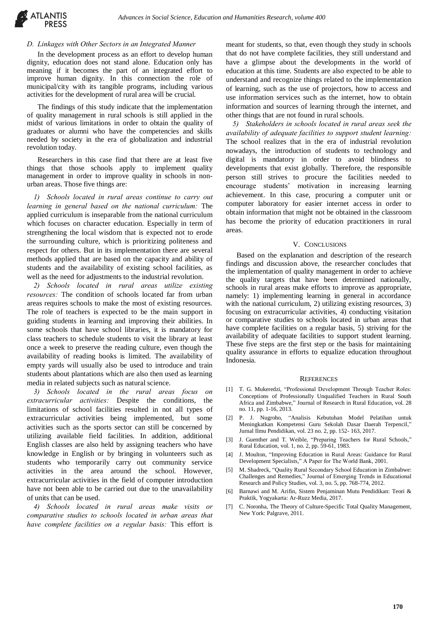

## *D. Linkages with Other Sectors in an Integrated Manner*

In the development process as an effort to develop human dignity, education does not stand alone. Education only has meaning if it becomes the part of an integrated effort to improve human dignity. In this connection the role of municipal/city with its tangible programs, including various activities for the development of rural area will be crucial.

The findings of this study indicate that the implementation of quality management in rural schools is still applied in the midst of various limitations in order to obtain the quality of graduates or alumni who have the competencies and skills needed by society in the era of globalization and industrial revolution today.

Researchers in this case find that there are at least five things that those schools apply to implement quality management in order to improve quality in schools in nonurban areas. Those five things are:

*1) Schools located in rural areas continue to carry out learning in general based on the national curriculum:* The applied curriculum is inseparable from the national curriculum which focuses on character education. Especially in term of strengthening the local wisdom that is expected not to erode the surrounding culture, which is prioritizing politeness and respect for others. But in its implementation there are several methods applied that are based on the capacity and ability of students and the availability of existing school facilities, as well as the need for adjustments to the industrial revolution.

*2) Schools located in rural areas utilize existing resources:* The condition of schools located far from urban areas requires schools to make the most of existing resources. The role of teachers is expected to be the main support in guiding students in learning and improving their abilities. In some schools that have school libraries, it is mandatory for class teachers to schedule students to visit the library at least once a week to preserve the reading culture, even though the availability of reading books is limited. The availability of empty yards will usually also be used to introduce and train students about plantations which are also then used as learning media in related subjects such as natural science.

*3) Schools located in the rural areas focus on extracurricular activities:* Despite the conditions, the limitations of school facilities resulted in not all types of extracurricular activities being implemented, but some activities such as the sports sector can still be concerned by utilizing available field facilities. In addition, additional English classes are also held by assigning teachers who have knowledge in English or by bringing in volunteers such as students who temporarily carry out community service activities in the area around the school. However, extracurricular activities in the field of computer introduction have not been able to be carried out due to the unavailability of units that can be used.

*4) Schools located in rural areas make visits or comparative studies to schools located in urban areas that have complete facilities on a regular basis:* This effort is

meant for students, so that, even though they study in schools that do not have complete facilities, they still understand and have a glimpse about the developments in the world of education at this time. Students are also expected to be able to understand and recognize things related to the implementation of learning, such as the use of projectors, how to access and use information services such as the internet, how to obtain information and sources of learning through the internet, and other things that are not found in rural schools.

*5) Stakeholders in schools located in rural areas seek the availability of adequate facilities to support student learning:*  The school realizes that in the era of industrial revolution nowadays, the introduction of students to technology and digital is mandatory in order to avoid blindness to developments that exist globally. Therefore, the responsible person still strives to procure the facilities needed to encourage students' motivation in increasing learning achievement. In this case, procuring a computer unit or computer laboratory for easier internet access in order to obtain information that might not be obtained in the classroom has become the priority of education practitioners in rural areas.

### V. CONCLUSIONS

Based on the explanation and description of the research findings and discussion above, the researcher concludes that the implementation of quality management in order to achieve the quality targets that have been determined nationally, schools in rural areas make efforts to improve as appropriate, namely: 1) implementing learning in general in accordance with the national curriculum, 2) utilizing existing resources, 3) focusing on extracurricular activities, 4) conducting visitation or comparative studies to schools located in urban areas that have complete facilities on a regular basis, 5) striving for the availability of adequate facilities to support student learning. These five steps are the first step or the basis for maintaining quality assurance in efforts to equalize education throughout Indonesia.

#### **REFERENCES**

- [1] T. G. Mukeredzi, "Professional Development Through Teacher Roles: Conceptions of Professionally Unqualified Teachers in Rural South Africa and Zimbabwe," Journal of Research in Rural Education, vol. 28 no. 11, pp. 1-16, 2013.
- [2] P. J. Nugroho, "Analisis Kebutuhan Model Pelatihan untuk Meningkatkan Kompetensi Guru Sekolah Dasar Daerah Terpencil," Jurnal Ilmu Pendidikan, vol. 23 no. 2, pp. 152- 163, 2017.
- J. Guenther and T. Weible, "Preparing Teachers for Rural Schools," Rural Education, vol. 1, no. 2, pp. 59-61, 1983.
- [4] J. Moulton, "Improving Education in Rural Areas: Guidance for Rural Development Specialists," A Paper for The World Bank, 2001.
- [5] M. Shadreck, "Quality Rural Secondary School Education in Zimbabwe: Challenges and Remedies," Journal of Emerging Trends in Educational Research and Policy Studies, vol. 3, no. 5, pp. 768-774, 2012.
- Barnawi and M. Arifin, Sistem Penjaminan Mutu Pendidikan: Teori & Praktik, Yogyakarta: Ar-Ruzz Media, 2017.
- [7] C. Noronha, The Theory of Culture-Specific Total Quality Management, New York: Palgrave, 2011.